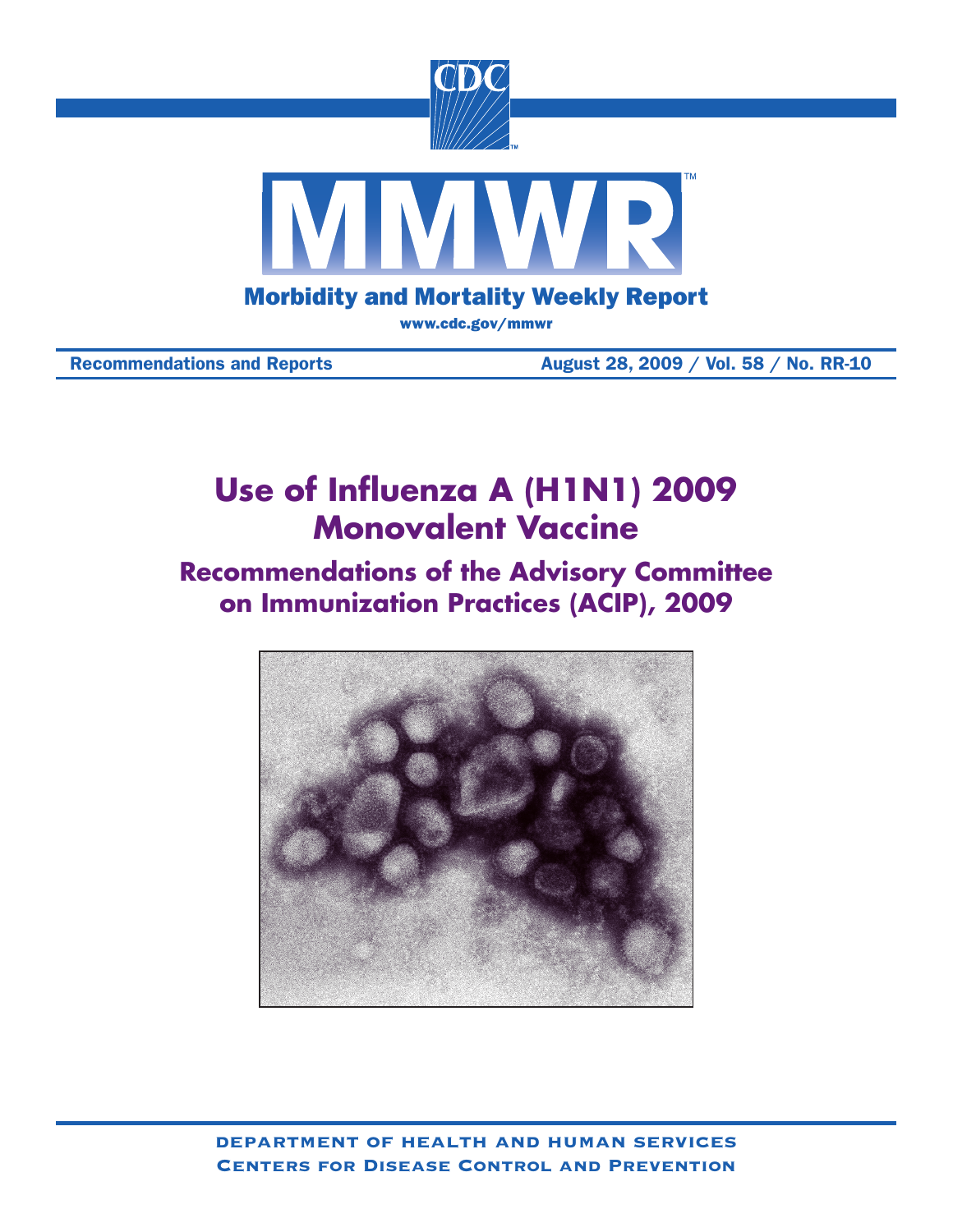

Recommendations and Reports **August 28, 2009** / Vol. 58 / No. RR-10

# **Use of Influenza A (H1N1) 2009 Monovalent Vaccine**

# **Recommendations of the Advisory Committee on Immunization Practices (ACIP), 2009**



department of health and human services Centers for Disease Control and Prevention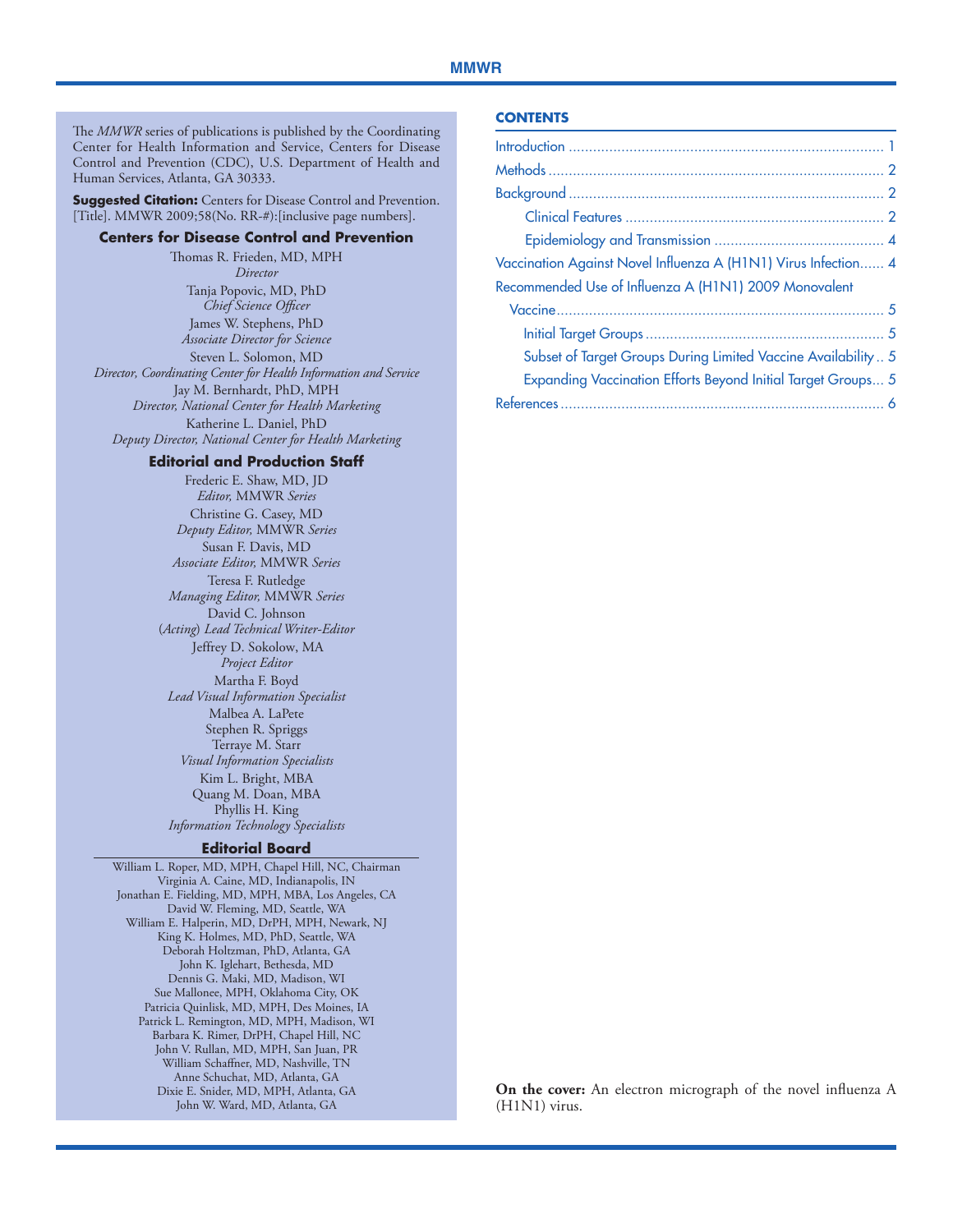The *MMWR* series of publications is published by the Coordinating Center for Health Information and Service, Centers for Disease Control and Prevention (CDC), U.S. Department of Health and Human Services, Atlanta, GA 30333.

**Suggested Citation:** Centers for Disease Control and Prevention. [Title]. MMWR 2009;58(No. RR-#): [inclusive page numbers].

#### **Centers for Disease Control and Prevention**

Thomas R. Frieden, MD, MPH *Director* Tanja Popovic, MD, PhD *Chief Science Officer* James W. Stephens, PhD *Associate Director for Science* Steven L. Solomon, MD *Director, Coordinating Center for Health Information and Service* Jay M. Bernhardt, PhD, MPH *Director, National Center for Health Marketing* Katherine L. Daniel, PhD *Deputy Director, National Center for Health Marketing*

#### **Editorial and Production Staff**

Frederic E. Shaw, MD, JD *Editor,* MMWR *Series* Christine G. Casey, MD *Deputy Editor,* MMWR *Series* Susan F. Davis, MD *Associate Editor,* MMWR *Series* Teresa F. Rutledge *Managing Editor,* MMWR *Series* David C. Johnson (*Acting*) *Lead Technical Writer-Editor* Jeffrey D. Sokolow, MA *Project Editor* Martha F. Boyd *Lead Visual Information Specialist* Malbea A. LaPete Stephen R. Spriggs Terraye M. Starr *Visual Information Specialists* Kim L. Bright, MBA Quang M. Doan, MBA Phyllis H. King *Information Technology Specialists*

#### **Editorial Board**

William L. Roper, MD, MPH, Chapel Hill, NC, Chairman Virginia A. Caine, MD, Indianapolis, IN Jonathan E. Fielding, MD, MPH, MBA, Los Angeles, CA David W. Fleming, MD, Seattle, WA William E. Halperin, MD, DrPH, MPH, Newark, NJ King K. Holmes, MD, PhD, Seattle, WA Deborah Holtzman, PhD, Atlanta, GA John K. Iglehart, Bethesda, MD Dennis G. Maki, MD, Madison, WI Sue Mallonee, MPH, Oklahoma City, OK Patricia Quinlisk, MD, MPH, Des Moines, IA Patrick L. Remington, MD, MPH, Madison, WI Barbara K. Rimer, DrPH, Chapel Hill, NC John V. Rullan, MD, MPH, San Juan, PR William Schaffner, MD, Nashville, TN Anne Schuchat, MD, Atlanta, GA Dixie E. Snider, MD, MPH, Atlanta, GA John W. Ward, MD, Atlanta, GA

#### **Contents**

| Vaccination Against Novel Influenza A (H1N1) Virus Infection 4      |  |
|---------------------------------------------------------------------|--|
| Recommended Use of Influenza A (H1N1) 2009 Monovalent               |  |
|                                                                     |  |
|                                                                     |  |
| Subset of Target Groups During Limited Vaccine Availability 5       |  |
| <b>Expanding Vaccination Efforts Beyond Initial Target Groups 5</b> |  |
|                                                                     |  |
|                                                                     |  |

**On the cover:** An electron micrograph of the novel influenza A (H1N1) virus.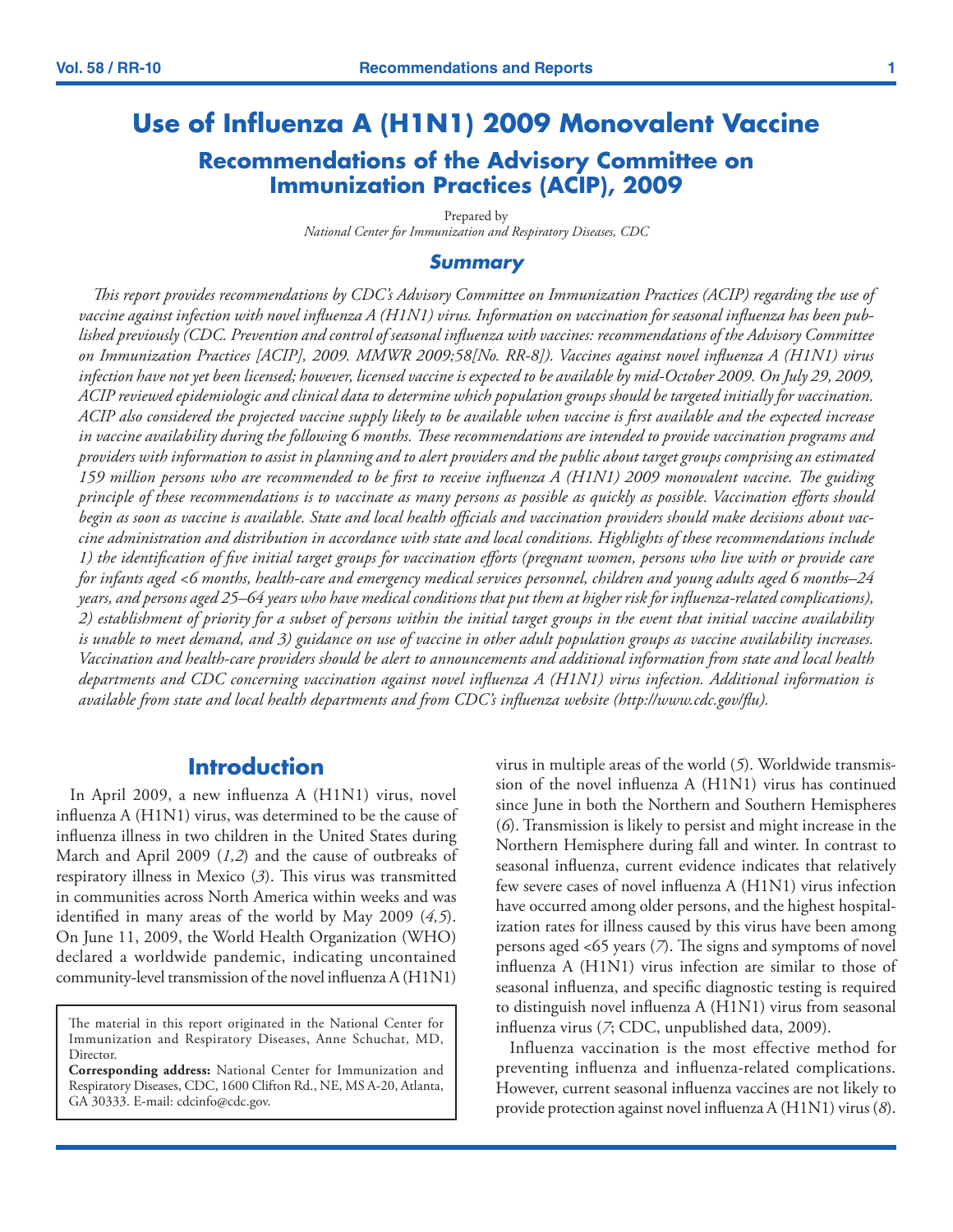# <span id="page-2-0"></span>**Use of Influenza A (H1N1) 2009 Monovalent Vaccine Recommendations of the Advisory Committee on Immunization Practices (ACIP), 2009**

Prepared by *National Center for Immunization and Respiratory Diseases, CDC*

### *Summary*

*This report provides recommendations by CDC's Advisory Committee on Immunization Practices (ACIP) regarding the use of vaccine against infection with novel influenza A (H1N1) virus. Information on vaccination for seasonal influenza has been published previously (CDC. Prevention and control of seasonal influenza with vaccines: recommendations of the Advisory Committee on Immunization Practices [ACIP], 2009. MMWR 2009;58[No. RR-8]). Vaccines against novel influenza A (H1N1) virus infection have not yet been licensed; however, licensed vaccine is expected to be available by mid-October 2009. On July 29, 2009, ACIP reviewed epidemiologic and clinical data to determine which population groups should be targeted initially for vaccination. ACIP also considered the projected vaccine supply likely to be available when vaccine is first available and the expected increase in vaccine availability during the following 6 months. These recommendations are intended to provide vaccination programs and providers with information to assist in planning and to alert providers and the public about target groups comprising an estimated 159 million persons who are recommended to be first to receive influenza A (H1N1) 2009 monovalent vaccine. The guiding principle of these recommendations is to vaccinate as many persons as possible as quickly as possible. Vaccination efforts should begin as soon as vaccine is available. State and local health officials and vaccination providers should make decisions about vaccine administration and distribution in accordance with state and local conditions. Highlights of these recommendations include 1) the identification of five initial target groups for vaccination efforts (pregnant women, persons who live with or provide care for infants aged <6 months, health-care and emergency medical services personnel, children and young adults aged 6 months–24 years, and persons aged 25–64 years who have medical conditions that put them at higher risk for influenza-related complications), 2) establishment of priority for a subset of persons within the initial target groups in the event that initial vaccine availability is unable to meet demand, and 3) guidance on use of vaccine in other adult population groups as vaccine availability increases. Vaccination and health-care providers should be alert to announcements and additional information from state and local health departments and CDC concerning vaccination against novel influenza A (H1N1) virus infection. Additional information is available from state and local health departments and from CDC's influenza website [\(http://www.cdc.gov/flu](http://www.cdc.gov/flu)).*

### **Introduction**

In April 2009, a new influenza A (H1N1) virus, novel influenza A (H1N1) virus, was determined to be the cause of influenza illness in two children in the United States during March and April 2009 (*1,2*) and the cause of outbreaks of respiratory illness in Mexico (*3*). This virus was transmitted in communities across North America within weeks and was identified in many areas of the world by May 2009 (*4,5*). On June 11, 2009, the World Health Organization (WHO) declared a worldwide pandemic, indicating uncontained community-level transmission of the novel influenza A (H1N1)

virus in multiple areas of the world (*5*). Worldwide transmission of the novel influenza A (H1N1) virus has continued since June in both the Northern and Southern Hemispheres (*6*). Transmission is likely to persist and might increase in the Northern Hemisphere during fall and winter. In contrast to seasonal influenza, current evidence indicates that relatively few severe cases of novel influenza A (H1N1) virus infection have occurred among older persons, and the highest hospitalization rates for illness caused by this virus have been among persons aged <65 years (*7*). The signs and symptoms of novel influenza A (H1N1) virus infection are similar to those of seasonal influenza, and specific diagnostic testing is required to distinguish novel influenza A (H1N1) virus from seasonal influenza virus (*7*; CDC, unpublished data, 2009).

Influenza vaccination is the most effective method for preventing influenza and influenza-related complications. However, current seasonal influenza vaccines are not likely to provide protection against novel influenza A (H1N1) virus (*8*).

The material in this report originated in the National Center for Immunization and Respiratory Diseases, Anne Schuchat, MD, Director.

**Corresponding address:** National Center for Immunization and Respiratory Diseases, CDC, 1600 Clifton Rd., NE, MS A-20, Atlanta, GA 30333. E-mail: cdcinfo@cdc.gov.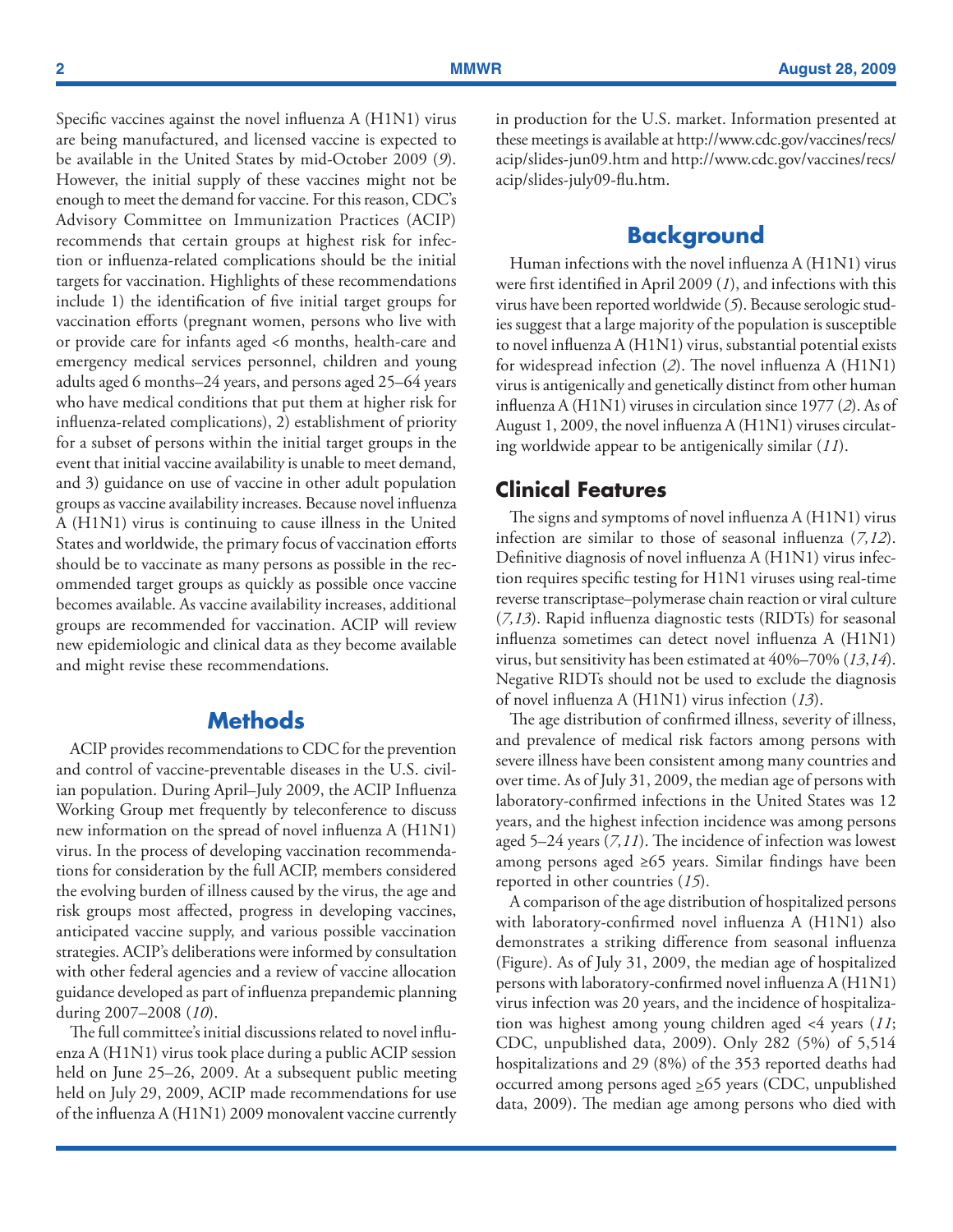<span id="page-3-0"></span>Specific vaccines against the novel influenza A (H1N1) virus are being manufactured, and licensed vaccine is expected to be available in the United States by mid-October 2009 (*9*). However, the initial supply of these vaccines might not be enough to meet the demand for vaccine. For this reason, CDC's Advisory Committee on Immunization Practices (ACIP) recommends that certain groups at highest risk for infection or influenza-related complications should be the initial targets for vaccination. Highlights of these recommendations include 1) the identification of five initial target groups for vaccination efforts (pregnant women, persons who live with or provide care for infants aged <6 months, health-care and emergency medical services personnel, children and young adults aged 6 months–24 years, and persons aged 25–64 years who have medical conditions that put them at higher risk for influenza-related complications), 2) establishment of priority for a subset of persons within the initial target groups in the event that initial vaccine availability is unable to meet demand, and 3) guidance on use of vaccine in other adult population groups as vaccine availability increases. Because novel influenza A (H1N1) virus is continuing to cause illness in the United States and worldwide, the primary focus of vaccination efforts should be to vaccinate as many persons as possible in the recommended target groups as quickly as possible once vaccine becomes available. As vaccine availability increases, additional groups are recommended for vaccination. ACIP will review new epidemiologic and clinical data as they become available and might revise these recommendations.

## **Methods**

ACIP provides recommendations to CDC for the prevention and control of vaccine-preventable diseases in the U.S. civilian population. During April–July 2009, the ACIP Influenza Working Group met frequently by teleconference to discuss new information on the spread of novel influenza A (H1N1) virus. In the process of developing vaccination recommendations for consideration by the full ACIP, members considered the evolving burden of illness caused by the virus, the age and risk groups most affected, progress in developing vaccines, anticipated vaccine supply, and various possible vaccination strategies. ACIP's deliberations were informed by consultation with other federal agencies and a review of vaccine allocation guidance developed as part of influenza prepandemic planning during 2007–2008 (*10*).

The full committee's initial discussions related to novel influenza A (H1N1) virus took place during a public ACIP session held on June 25–26, 2009. At a subsequent public meeting held on July 29, 2009, ACIP made recommendations for use of the influenza A (H1N1) 2009 monovalent vaccine currently in production for the U.S. market. Information presented at these meetings is available at [http://www.cdc.gov/vaccines/recs/](http://www.cdc.gov/vaccines/recs/acip/slides-jun09.htm) [acip/slides-jun09.htm](http://www.cdc.gov/vaccines/recs/acip/slides-jun09.htm) and [http://www.cdc.gov/vaccines/recs/](http://www.cdc.gov/vaccines/recs/acip/slides-july09-flu.htm) [acip/slides-july09-flu.htm.](http://www.cdc.gov/vaccines/recs/acip/slides-july09-flu.htm)

## **Background**

Human infections with the novel influenza A (H1N1) virus were first identified in April 2009 (*1*), and infections with this virus have been reported worldwide (*5*). Because serologic studies suggest that a large majority of the population is susceptible to novel influenza A (H1N1) virus, substantial potential exists for widespread infection (*2*). The novel influenza A (H1N1) virus is antigenically and genetically distinct from other human influenza A (H1N1) viruses in circulation since 1977 (*2*). As of August 1, 2009, the novel influenza A (H1N1) viruses circulating worldwide appear to be antigenically similar (*11*).

### **Clinical Features**

The signs and symptoms of novel influenza A (H1N1) virus infection are similar to those of seasonal influenza (*7,12*). Definitive diagnosis of novel influenza A (H1N1) virus infection requires specific testing for H1N1 viruses using real-time reverse transcriptase–polymerase chain reaction or viral culture (*7,13*). Rapid influenza diagnostic tests (RIDTs) for seasonal influenza sometimes can detect novel influenza A (H1N1) virus, but sensitivity has been estimated at 40%–70% (*13*,*14*). Negative RIDTs should not be used to exclude the diagnosis of novel influenza A (H1N1) virus infection (*13*).

The age distribution of confirmed illness, severity of illness, and prevalence of medical risk factors among persons with severe illness have been consistent among many countries and over time. As of July 31, 2009, the median age of persons with laboratory-confirmed infections in the United States was 12 years, and the highest infection incidence was among persons aged 5–24 years (*7,11*). The incidence of infection was lowest among persons aged ≥65 years. Similar findings have been reported in other countries (*15*).

A comparison of the age distribution of hospitalized persons with laboratory-confirmed novel influenza A (H1N1) also demonstrates a striking difference from seasonal influenza (Figure). As of July 31, 2009, the median age of hospitalized persons with laboratory-confirmed novel influenza A (H1N1) virus infection was 20 years, and the incidence of hospitalization was highest among young children aged <4 years (*11*; CDC, unpublished data, 2009). Only 282 (5%) of 5,514 hospitalizations and 29 (8%) of the 353 reported deaths had occurred among persons aged  $\geq 65$  years (CDC, unpublished data, 2009). The median age among persons who died with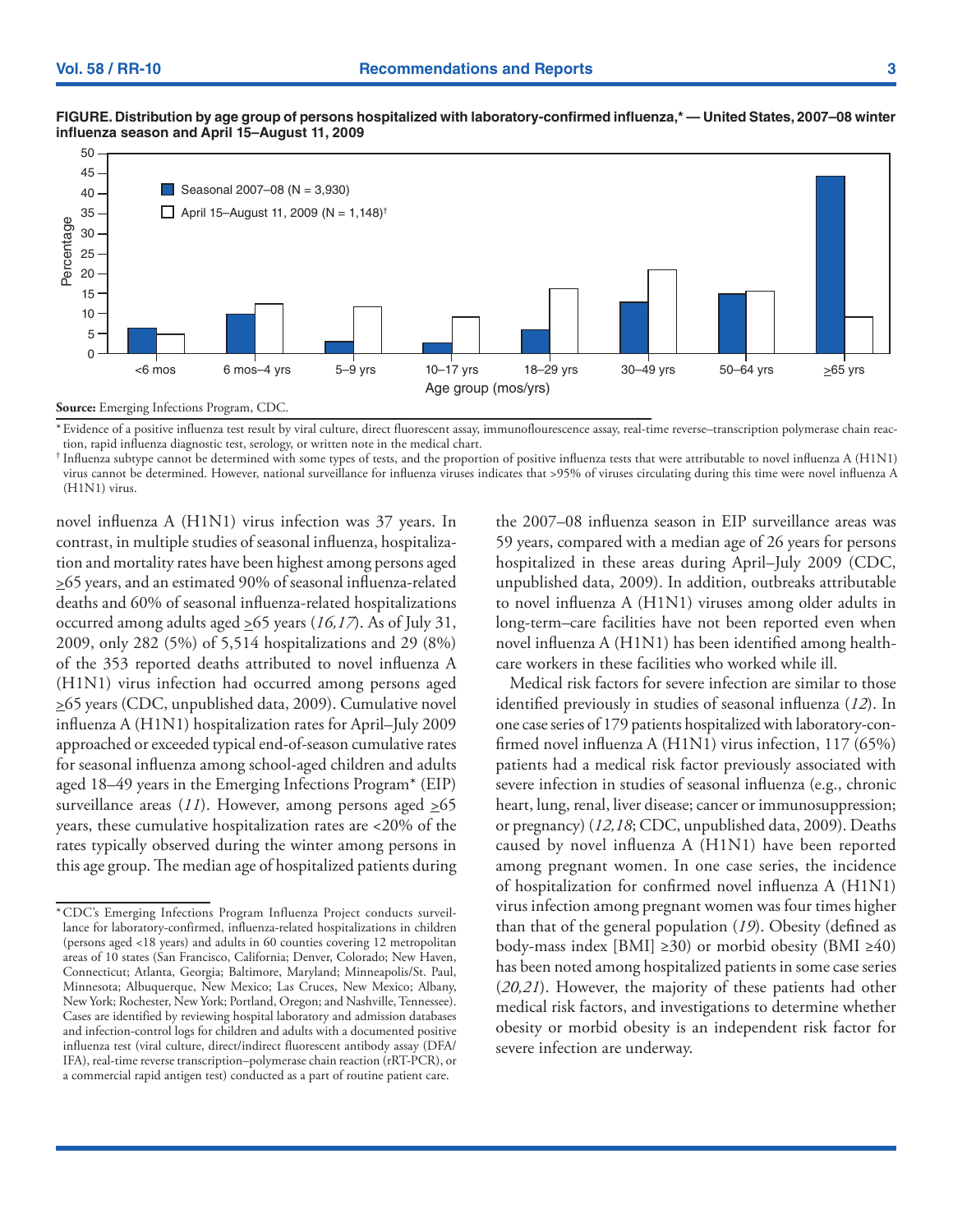

#### **FIGURE. Distribution by age group of persons hospitalized with laboratory-confirmed influenza,\* — United States, 2007–08 winter influenza season and April 15–August 11, 2009**

**Source:** Emerging Infections Program, CDC.

\*Evidence of a positive influenza test result by viral culture, direct fluorescent assay, immunoflourescence assay, real-time reverse–transcription polymerase chain reaction, rapid influenza diagnostic test, serology, or written note in the medical chart.

† Influenza subtype cannot be determined with some types of tests, and the proportion of positive influenza tests that were attributable to novel influenza A (H1N1) virus cannot be determined. However, national surveillance for influenza viruses indicates that >95% of viruses circulating during this time were novel influenza A (H1N1) virus.

novel influenza A (H1N1) virus infection was 37 years. In contrast, in multiple studies of seasonal influenza, hospitalization and mortality rates have been highest among persons aged >65 years, and an estimated 90% of seasonal influenza-related deaths and 60% of seasonal influenza-related hospitalizations occurred among adults aged >65 years (*16,17*). As of July 31, 2009, only 282 (5%) of 5,514 hospitalizations and 29 (8%) of the 353 reported deaths attributed to novel influenza A (H1N1) virus infection had occurred among persons aged >65 years (CDC, unpublished data, 2009). Cumulative novel influenza A (H1N1) hospitalization rates for April–July 2009 approached or exceeded typical end-of-season cumulative rates for seasonal influenza among school-aged children and adults aged 18–49 years in the Emerging Infections Program\* (EIP) surveillance areas  $(11)$ . However, among persons aged  $\geq 65$ years, these cumulative hospitalization rates are <20% of the rates typically observed during the winter among persons in this age group. The median age of hospitalized patients during the 2007–08 influenza season in EIP surveillance areas was 59 years, compared with a median age of 26 years for persons hospitalized in these areas during April–July 2009 (CDC, unpublished data, 2009). In addition, outbreaks attributable to novel influenza A (H1N1) viruses among older adults in long-term–care facilities have not been reported even when novel influenza A (H1N1) has been identified among healthcare workers in these facilities who worked while ill.

Medical risk factors for severe infection are similar to those identified previously in studies of seasonal influenza (*12*). In one case series of 179 patients hospitalized with laboratory-confirmed novel influenza A (H1N1) virus infection, 117 (65%) patients had a medical risk factor previously associated with severe infection in studies of seasonal influenza (e.g., chronic heart, lung, renal, liver disease; cancer or immunosuppression; or pregnancy) (*12,18*; CDC, unpublished data, 2009). Deaths caused by novel influenza A (H1N1) have been reported among pregnant women. In one case series, the incidence of hospitalization for confirmed novel influenza A (H1N1) virus infection among pregnant women was four times higher than that of the general population (*19*). Obesity (defined as body-mass index [BMI]  $\geq$ 30) or morbid obesity (BMI  $\geq$ 40) has been noted among hospitalized patients in some case series (*20,21*). However, the majority of these patients had other medical risk factors, and investigations to determine whether obesity or morbid obesity is an independent risk factor for severe infection are underway.

<sup>\*</sup>CDC's Emerging Infections Program Influenza Project conducts surveillance for laboratory-confirmed, influenza-related hospitalizations in children (persons aged <18 years) and adults in 60 counties covering 12 metropolitan areas of 10 states (San Francisco, California; Denver, Colorado; New Haven, Connecticut; Atlanta, Georgia; Baltimore, Maryland; Minneapolis/St. Paul, Minnesota; Albuquerque, New Mexico; Las Cruces, New Mexico; Albany, New York; Rochester, New York; Portland, Oregon; and Nashville, Tennessee). Cases are identified by reviewing hospital laboratory and admission databases and infection-control logs for children and adults with a documented positive influenza test (viral culture, direct/indirect fluorescent antibody assay (DFA/ IFA), real-time reverse transcription–polymerase chain reaction (rRT-PCR), or a commercial rapid antigen test) conducted as a part of routine patient care.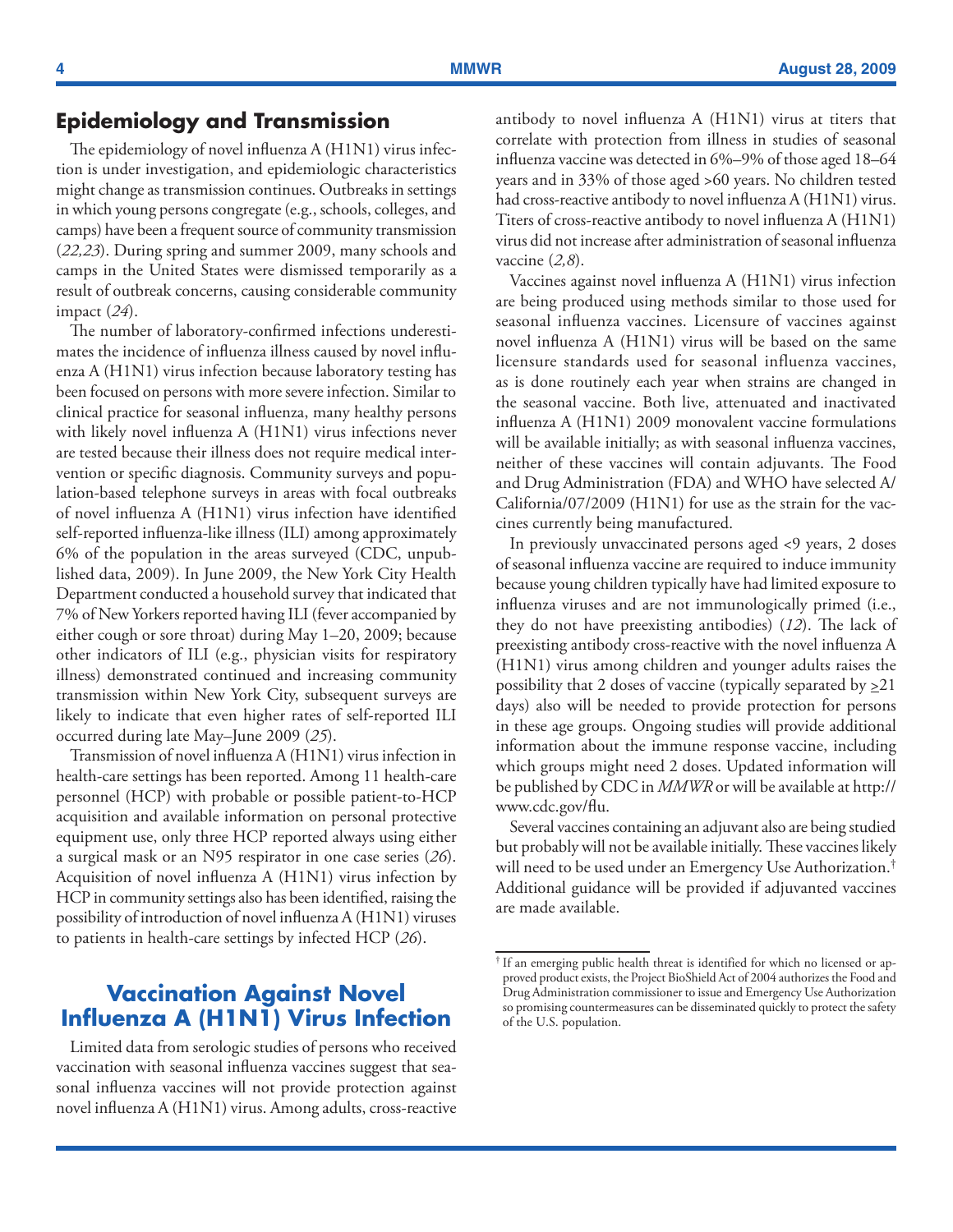### <span id="page-5-0"></span>**Epidemiology and Transmission**

The epidemiology of novel influenza A (H1N1) virus infection is under investigation, and epidemiologic characteristics might change as transmission continues. Outbreaks in settings in which young persons congregate (e.g., schools, colleges, and camps) have been a frequent source of community transmission (*22,23*). During spring and summer 2009, many schools and camps in the United States were dismissed temporarily as a result of outbreak concerns, causing considerable community impact (*24*).

The number of laboratory-confirmed infections underestimates the incidence of influenza illness caused by novel influenza A (H1N1) virus infection because laboratory testing has been focused on persons with more severe infection. Similar to clinical practice for seasonal influenza, many healthy persons with likely novel influenza A (H1N1) virus infections never are tested because their illness does not require medical intervention or specific diagnosis. Community surveys and population-based telephone surveys in areas with focal outbreaks of novel influenza A (H1N1) virus infection have identified self-reported influenza-like illness (ILI) among approximately 6% of the population in the areas surveyed (CDC, unpublished data, 2009). In June 2009, the New York City Health Department conducted a household survey that indicated that 7% of New Yorkers reported having ILI (fever accompanied by either cough or sore throat) during May 1–20, 2009; because other indicators of ILI (e.g., physician visits for respiratory illness) demonstrated continued and increasing community transmission within New York City, subsequent surveys are likely to indicate that even higher rates of self-reported ILI occurred during late May–June 2009 (*25*).

Transmission of novel influenza A (H1N1) virus infection in health-care settings has been reported. Among 11 health-care personnel (HCP) with probable or possible patient-to-HCP acquisition and available information on personal protective equipment use, only three HCP reported always using either a surgical mask or an N95 respirator in one case series (*26*). Acquisition of novel influenza A (H1N1) virus infection by HCP in community settings also has been identified, raising the possibility of introduction of novel influenza A (H1N1) viruses to patients in health-care settings by infected HCP (*26*).

## **Vaccination Against Novel Influenza A (H1N1) Virus Infection**

Limited data from serologic studies of persons who received vaccination with seasonal influenza vaccines suggest that seasonal influenza vaccines will not provide protection against novel influenza A (H1N1) virus. Among adults, cross-reactive antibody to novel influenza A (H1N1) virus at titers that correlate with protection from illness in studies of seasonal influenza vaccine was detected in 6%–9% of those aged 18–64 years and in 33% of those aged >60 years. No children tested had cross-reactive antibody to novel influenza A (H1N1) virus. Titers of cross-reactive antibody to novel influenza A (H1N1) virus did not increase after administration of seasonal influenza vaccine (*2,8*).

Vaccines against novel influenza A (H1N1) virus infection are being produced using methods similar to those used for seasonal influenza vaccines. Licensure of vaccines against novel influenza A (H1N1) virus will be based on the same licensure standards used for seasonal influenza vaccines, as is done routinely each year when strains are changed in the seasonal vaccine. Both live, attenuated and inactivated influenza A (H1N1) 2009 monovalent vaccine formulations will be available initially; as with seasonal influenza vaccines, neither of these vaccines will contain adjuvants. The Food and Drug Administration (FDA) and WHO have selected A/ California/07/2009 (H1N1) for use as the strain for the vaccines currently being manufactured.

In previously unvaccinated persons aged <9 years, 2 doses of seasonal influenza vaccine are required to induce immunity because young children typically have had limited exposure to influenza viruses and are not immunologically primed (i.e., they do not have preexisting antibodies) (*12*). The lack of preexisting antibody cross-reactive with the novel influenza A (H1N1) virus among children and younger adults raises the possibility that 2 doses of vaccine (typically separated by  $\geq 21$ ) days) also will be needed to provide protection for persons in these age groups. Ongoing studies will provide additional information about the immune response vaccine, including which groups might need 2 doses. Updated information will be published by CDC in *MMWR* or will be available at [http://](http://www.cdc.gov/flu) [www.cdc.gov/flu](http://www.cdc.gov/flu).

Several vaccines containing an adjuvant also are being studied but probably will not be available initially. These vaccines likely will need to be used under an Emergency Use Authorization.† Additional guidance will be provided if adjuvanted vaccines are made available.

<sup>†</sup> If an emerging public health threat is identified for which no licensed or approved product exists, the Project BioShield Act of 2004 authorizes the Food and Drug Administration commissioner to issue and Emergency Use Authorization so promising countermeasures can be disseminated quickly to protect the safety of the U.S. population.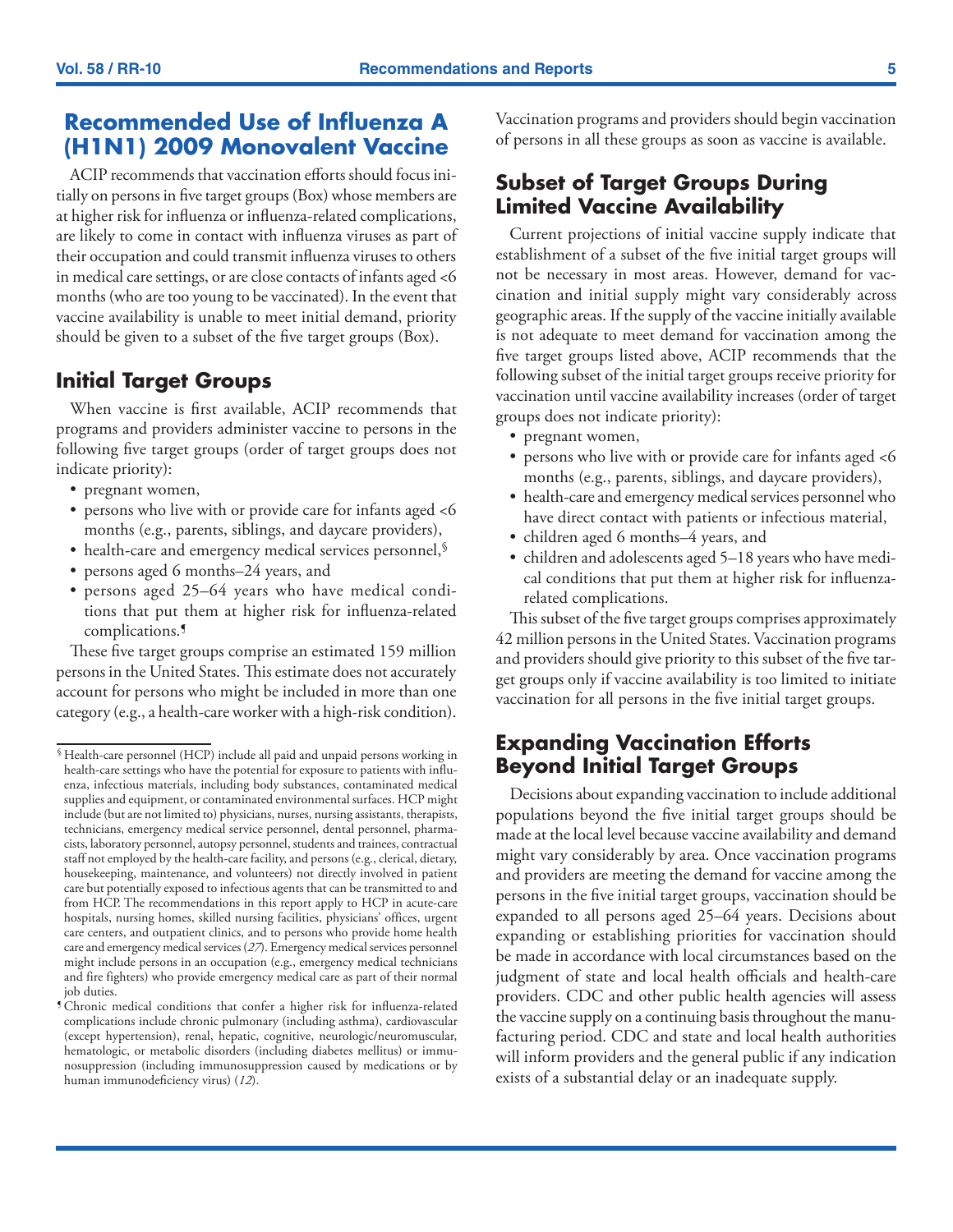## <span id="page-6-0"></span>**Recommended Use of Influenza A (H1N1) 2009 Monovalent Vaccine**

ACIP recommends that vaccination efforts should focus initially on persons in five target groups (Box) whose members are at higher risk for influenza or influenza-related complications, are likely to come in contact with influenza viruses as part of their occupation and could transmit influenza viruses to others in medical care settings, or are close contacts of infants aged <6 months (who are too young to be vaccinated). In the event that vaccine availability is unable to meet initial demand, priority should be given to a subset of the five target groups (Box).

### **Initial Target Groups**

When vaccine is first available, ACIP recommends that programs and providers administer vaccine to persons in the following five target groups (order of target groups does not indicate priority):

- pregnant women,
- persons who live with or provide care for infants aged <6 months (e.g., parents, siblings, and daycare providers),
- health-care and emergency medical services personnel, §
- persons aged 6 months–24 years, and
- persons aged 25–64 years who have medical conditions that put them at higher risk for influenza-related complications.¶

These five target groups comprise an estimated 159 million persons in the United States. This estimate does not accurately account for persons who might be included in more than one category (e.g., a health-care worker with a high-risk condition). Vaccination programs and providers should begin vaccination of persons in all these groups as soon as vaccine is available.

### **Subset of Target Groups During Limited Vaccine Availability**

Current projections of initial vaccine supply indicate that establishment of a subset of the five initial target groups will not be necessary in most areas. However, demand for vaccination and initial supply might vary considerably across geographic areas. If the supply of the vaccine initially available is not adequate to meet demand for vaccination among the five target groups listed above, ACIP recommends that the following subset of the initial target groups receive priority for vaccination until vaccine availability increases (order of target groups does not indicate priority):

- pregnant women,
- persons who live with or provide care for infants aged <6 months (e.g., parents, siblings, and daycare providers),
- health-care and emergency medical services personnel who have direct contact with patients or infectious material,
- • children aged 6 months–4 years, and
- children and adolescents aged 5–18 years who have medical conditions that put them at higher risk for influenzarelated complications.

This subset of the five target groups comprises approximately 42 million persons in the United States. Vaccination programs and providers should give priority to this subset of the five target groups only if vaccine availability is too limited to initiate vaccination for all persons in the five initial target groups.

### **Expanding Vaccination Efforts Beyond Initial Target Groups**

Decisions about expanding vaccination to include additional populations beyond the five initial target groups should be made at the local level because vaccine availability and demand might vary considerably by area. Once vaccination programs and providers are meeting the demand for vaccine among the persons in the five initial target groups, vaccination should be expanded to all persons aged 25–64 years. Decisions about expanding or establishing priorities for vaccination should be made in accordance with local circumstances based on the judgment of state and local health officials and health-care providers. CDC and other public health agencies will assess the vaccine supply on a continuing basis throughout the manufacturing period. CDC and state and local health authorities will inform providers and the general public if any indication exists of a substantial delay or an inadequate supply.

<sup>§</sup> Health-care personnel (HCP) include all paid and unpaid persons working in health-care settings who have the potential for exposure to patients with influenza, infectious materials, including body substances, contaminated medical supplies and equipment, or contaminated environmental surfaces. HCP might include (but are not limited to) physicians, nurses, nursing assistants, therapists, technicians, emergency medical service personnel, dental personnel, pharmacists, laboratory personnel, autopsy personnel, students and trainees, contractual staff not employed by the health-care facility, and persons (e.g., clerical, dietary, housekeeping, maintenance, and volunteers) not directly involved in patient care but potentially exposed to infectious agents that can be transmitted to and from HCP. The recommendations in this report apply to HCP in acute-care hospitals, nursing homes, skilled nursing facilities, physicians' offices, urgent care centers, and outpatient clinics, and to persons who provide home health care and emergency medical services (*27*). Emergency medical services personnel might include persons in an occupation (e.g., emergency medical technicians and fire fighters) who provide emergency medical care as part of their normal job duties.

<sup>¶</sup> Chronic medical conditions that confer a higher risk for influenza-related complications include chronic pulmonary (including asthma), cardiovascular (except hypertension), renal, hepatic, cognitive, neurologic/neuromuscular, hematologic, or metabolic disorders (including diabetes mellitus) or immunosuppression (including immunosuppression caused by medications or by human immunodeficiency virus) (*12*).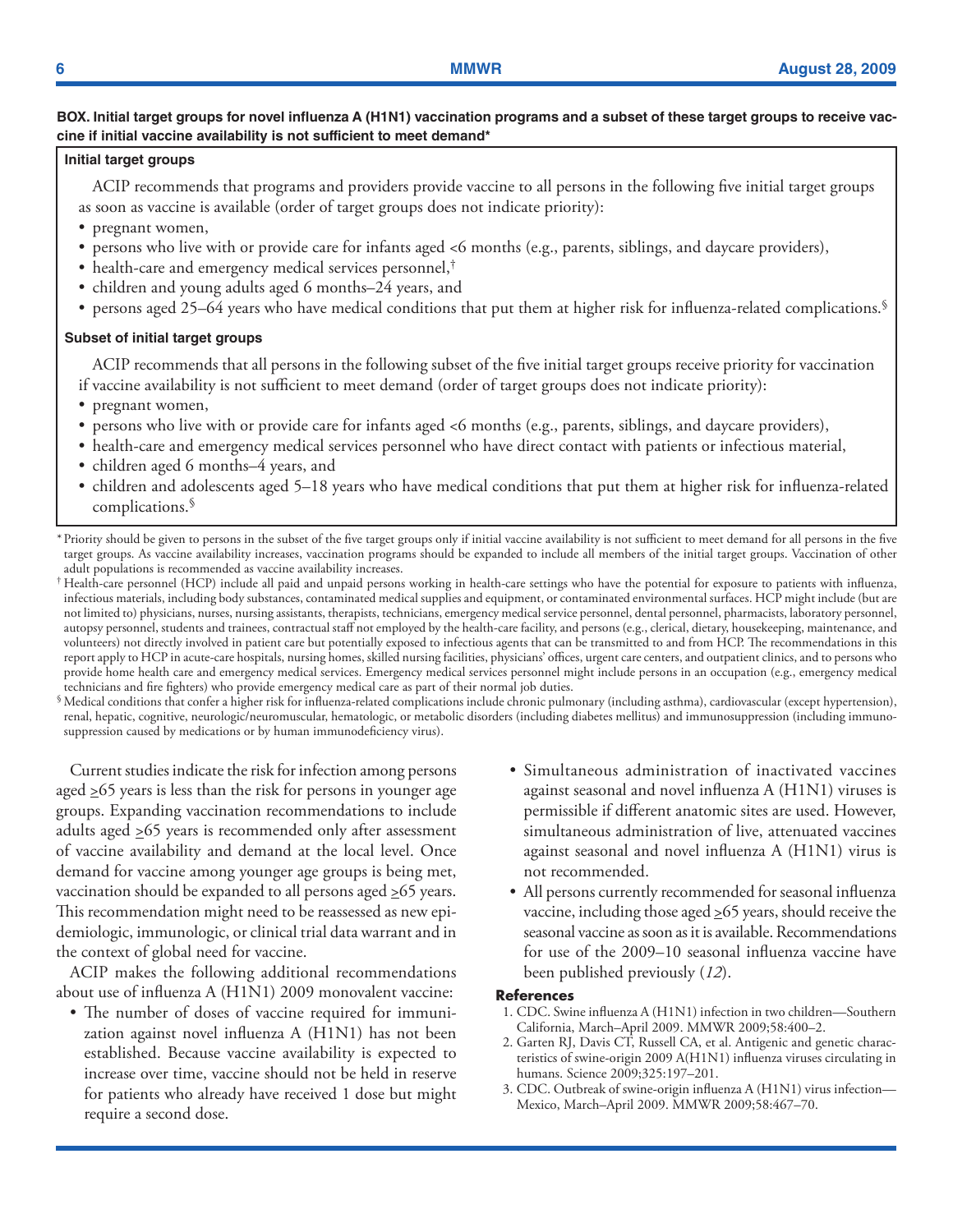### <span id="page-7-0"></span>**BOX. Initial target groups for novel influenza A (H1N1) vaccination programs and a subset of these target groups to receive vaccine if initial vaccine availability is not sufficient to meet demand\***

#### **Initial target groups**

ACIP recommends that programs and providers provide vaccine to all persons in the following five initial target groups as soon as vaccine is available (order of target groups does not indicate priority):

- pregnant women,
- persons who live with or provide care for infants aged <6 months (e.g., parents, siblings, and daycare providers),
- health-care and emergency medical services personnel,<sup>†</sup>
- children and young adults aged 6 months–24 years, and
- persons aged 25–64 years who have medical conditions that put them at higher risk for influenza-related complications.<sup>§</sup>

#### **Subset of initial target groups**

ACIP recommends that all persons in the following subset of the five initial target groups receive priority for vaccination if vaccine availability is not sufficient to meet demand (order of target groups does not indicate priority):

- pregnant women,
- • persons who live with or provide care for infants aged <6 months (e.g., parents, siblings, and daycare providers),
- • health-care and emergency medical services personnel who have direct contact with patients or infectious material,
- children aged 6 months–4 years, and
- • children and adolescents aged 5–18 years who have medical conditions that put them at higher risk for influenza-related complications.§

\*Priority should be given to persons in the subset of the five target groups only if initial vaccine availability is not sufficient to meet demand for all persons in the five target groups. As vaccine availability increases, vaccination programs should be expanded to include all members of the initial target groups. Vaccination of other adult populations is recommended as vaccine availability increases.

† Health-care personnel (HCP) include all paid and unpaid persons working in health-care settings who have the potential for exposure to patients with influenza, infectious materials, including body substances, contaminated medical supplies and equipment, or contaminated environmental surfaces. HCP might include (but are not limited to) physicians, nurses, nursing assistants, therapists, technicians, emergency medical service personnel, dental personnel, pharmacists, laboratory personnel, autopsy personnel, students and trainees, contractual staff not employed by the health-care facility, and persons (e.g., clerical, dietary, housekeeping, maintenance, and volunteers) not directly involved in patient care but potentially exposed to infectious agents that can be transmitted to and from HCP. The recommendations in this report apply to HCP in acute-care hospitals, nursing homes, skilled nursing facilities, physicians' offices, urgent care centers, and outpatient clinics, and to persons who provide home health care and emergency medical services. Emergency medical services personnel might include persons in an occupation (e.g., emergency medical technicians and fire fighters) who provide emergency medical care as part of their normal job duties.

§ Medical conditions that confer a higher risk for influenza-related complications include chronic pulmonary (including asthma), cardiovascular (except hypertension), renal, hepatic, cognitive, neurologic/neuromuscular, hematologic, or metabolic disorders (including diabetes mellitus) and immunosuppression (including immunosuppression caused by medications or by human immunodeficiency virus).

Current studies indicate the risk for infection among persons aged  $\geq 65$  years is less than the risk for persons in younger age groups. Expanding vaccination recommendations to include adults aged  $\geq 65$  years is recommended only after assessment of vaccine availability and demand at the local level. Once demand for vaccine among younger age groups is being met, vaccination should be expanded to all persons aged  $\geq 65$  years. This recommendation might need to be reassessed as new epidemiologic, immunologic, or clinical trial data warrant and in the context of global need for vaccine.

ACIP makes the following additional recommendations about use of influenza A (H1N1) 2009 monovalent vaccine:

• The number of doses of vaccine required for immunization against novel influenza A (H1N1) has not been established. Because vaccine availability is expected to increase over time, vaccine should not be held in reserve for patients who already have received 1 dose but might require a second dose.

- • Simultaneous administration of inactivated vaccines against seasonal and novel influenza A (H1N1) viruses is permissible if different anatomic sites are used. However, simultaneous administration of live, attenuated vaccines against seasonal and novel influenza A (H1N1) virus is not recommended.
- All persons currently recommended for seasonal influenza vaccine, including those aged  $\geq 65$  years, should receive the seasonal vaccine as soon as it is available. Recommendations for use of the 2009–10 seasonal influenza vaccine have been published previously (*12*).

#### **References**

- 1. CDC. Swine influenza A (H1N1) infection in two children—Southern California, March–April 2009. MMWR 2009;58:400–2.
- 2. Garten RJ, Davis CT, Russell CA, et al. Antigenic and genetic characteristics of swine-origin 2009 A(H1N1) influenza viruses circulating in humans. Science 2009;325:197–201.
- 3. CDC. Outbreak of swine-origin influenza A (H1N1) virus infection— Mexico, March–April 2009. MMWR 2009;58:467–70.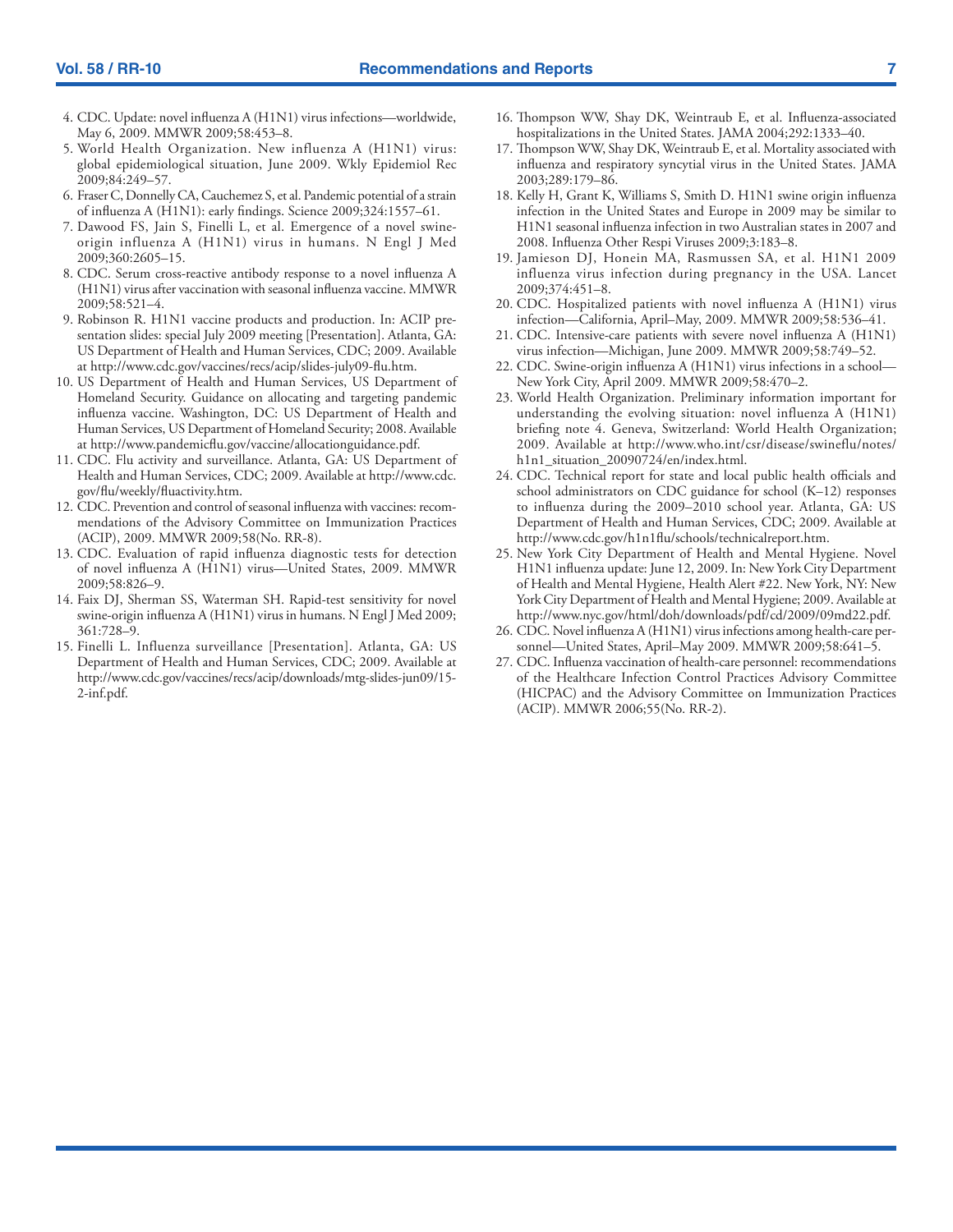- 4. CDC. Update: novel influenza A (H1N1) virus infections—worldwide, May 6, 2009. MMWR 2009;58:453–8.
- 5. World Health Organization. New influenza A (H1N1) virus: global epidemiological situation, June 2009. Wkly Epidemiol Rec 2009;84:249–57.
- 6. Fraser C, Donnelly CA, Cauchemez S, et al. Pandemic potential of a strain of influenza A (H1N1): early findings. Science 2009;324:1557–61.
- 7. Dawood FS, Jain S, Finelli L, et al. Emergence of a novel swineorigin influenza A (H1N1) virus in humans. N Engl J Med 2009;360:2605–15.
- 8. CDC. Serum cross-reactive antibody response to a novel influenza A (H1N1) virus after vaccination with seasonal influenza vaccine. MMWR 2009;58:521–4.
- 9. Robinson R. H1N1 vaccine products and production. In: ACIP presentation slides: special July 2009 meeting [Presentation]. Atlanta, GA: US Department of Health and Human Services, CDC; 2009. Available at [http://www.cdc.gov/vaccines/recs/acip/slides-july09-flu.htm.](http://www.cdc.gov/vaccines/recs/acip/slides-july09-flu.htm)
- 10. US Department of Health and Human Services, US Department of Homeland Security. Guidance on allocating and targeting pandemic influenza vaccine. Washington, DC: US Department of Health and Human Services, US Department of Homeland Security; 2008. Available at<http://www.pandemicflu.gov/vaccine/allocationguidance.pdf>.
- 11. CDC. Flu activity and surveillance. Atlanta, GA: US Department of Health and Human Services, CDC; 2009. Available at [http://www.cdc.](http://www.cdc.gov/flu/weekly/fluactivity.htm) [gov/flu/weekly/fluactivity.htm.](http://www.cdc.gov/flu/weekly/fluactivity.htm)
- 12. CDC. Prevention and control of seasonal influenza with vaccines: recommendations of the Advisory Committee on Immunization Practices (ACIP), 2009. MMWR 2009;58(No. RR-8).
- 13. CDC. Evaluation of rapid influenza diagnostic tests for detection of novel influenza A (H1N1) virus—United States, 2009. MMWR 2009;58:826–9.
- 14. Faix DJ, Sherman SS, Waterman SH. Rapid-test sensitivity for novel swine-origin influenza A (H1N1) virus in humans. N Engl J Med 2009; 361:728–9.
- 15. Finelli L. Influenza surveillance [Presentation]. Atlanta, GA: US Department of Health and Human Services, CDC; 2009. Available at [http://www.cdc.gov/vaccines/recs/acip/downloads/mtg-slides-jun09/15-](http://www.cdc.gov/vaccines/recs/acip/downloads/mtg-slides-jun09/15-2-inf.pdf) [2-inf.pdf](http://www.cdc.gov/vaccines/recs/acip/downloads/mtg-slides-jun09/15-2-inf.pdf).
- 16. Thompson WW, Shay DK, Weintraub E, et al. Influenza-associated hospitalizations in the United States. JAMA 2004;292:1333–40.
- 17. Thompson WW, Shay DK, Weintraub E, et al. Mortality associated with influenza and respiratory syncytial virus in the United States. JAMA 2003;289:179–86.
- 18. Kelly H, Grant K, Williams S, Smith D. H1N1 swine origin influenza infection in the United States and Europe in 2009 may be similar to H1N1 seasonal influenza infection in two Australian states in 2007 and 2008. Influenza Other Respi Viruses 2009;3:183–8.
- 19. Jamieson DJ, Honein MA, Rasmussen SA, et al. H1N1 2009 influenza virus infection during pregnancy in the USA. Lancet 2009;374:451–8.
- 20. CDC. Hospitalized patients with novel influenza A (H1N1) virus infection—California, April–May, 2009. MMWR 2009;58:536–41.
- 21. CDC. Intensive-care patients with severe novel influenza A (H1N1) virus infection—Michigan, June 2009. MMWR 2009;58:749–52.
- 22. CDC. Swine-origin influenza A (H1N1) virus infections in a school— New York City, April 2009. MMWR 2009;58:470–2.
- 23. World Health Organization. Preliminary information important for understanding the evolving situation: novel influenza A (H1N1) briefing note 4. Geneva, Switzerland: World Health Organization; 2009. Available at [http://www.who.int/csr/disease/swineflu/notes/](http://www.who.int/csr/disease/swineflu/notes/h1n1_situation_20090724/en/index.html) [h1n1\\_situation\\_20090724/en/index.html](http://www.who.int/csr/disease/swineflu/notes/h1n1_situation_20090724/en/index.html).
- 24. CDC. Technical report for state and local public health officials and school administrators on CDC guidance for school (K–12) responses to influenza during the 2009–2010 school year. Atlanta, GA: US Department of Health and Human Services, CDC; 2009. Available at <http://www.cdc.gov/h1n1flu/schools/technicalreport.htm>.
- 25. New York City Department of Health and Mental Hygiene. Novel H1N1 influenza update: June 12, 2009. In: New York City Department of Health and Mental Hygiene, Health Alert #22. New York, NY: New York City Department of Health and Mental Hygiene; 2009. Available at <http://www.nyc.gov/html/doh/downloads/pdf/cd/2009/09md22.pdf>.
- 26. CDC. Novel influenza A (H1N1) virus infections among health-care personnel—United States, April–May 2009. MMWR 2009;58:641–5.
- 27. CDC. Influenza vaccination of health-care personnel: recommendations of the Healthcare Infection Control Practices Advisory Committee (HICPAC) and the Advisory Committee on Immunization Practices (ACIP). MMWR 2006;55(No. RR-2).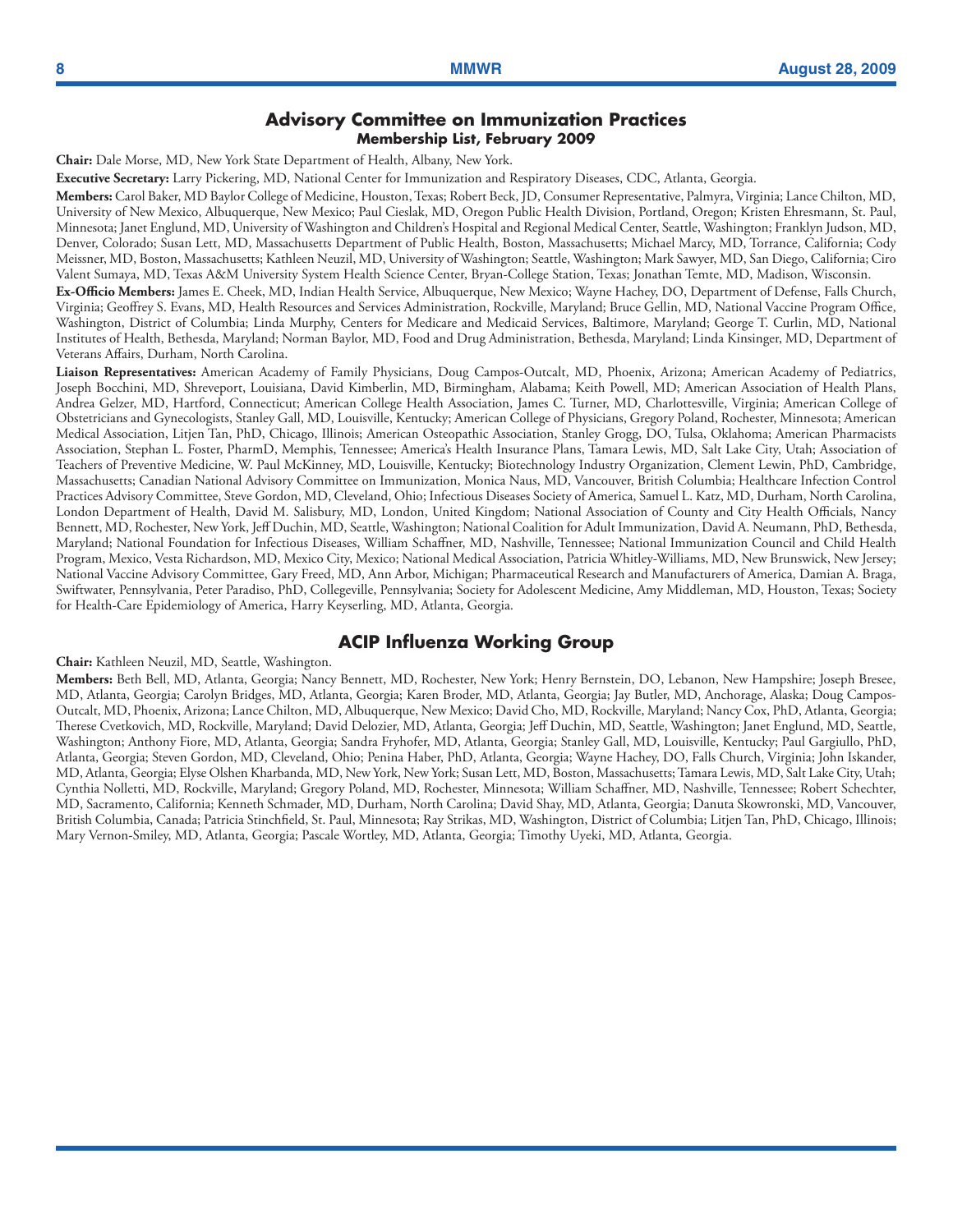#### **Advisory Committee on Immunization Practices Membership List, February 2009**

**Chair:** Dale Morse, MD, New York State Department of Health, Albany, New York.

**Executive Secretary:** Larry Pickering, MD, National Center for Immunization and Respiratory Diseases, CDC, Atlanta, Georgia.

**Members:** Carol Baker, MD Baylor College of Medicine, Houston, Texas; Robert Beck, JD, Consumer Representative, Palmyra, Virginia; Lance Chilton, MD, University of New Mexico, Albuquerque, New Mexico; Paul Cieslak, MD, Oregon Public Health Division, Portland, Oregon; Kristen Ehresmann, St. Paul, Minnesota; Janet Englund, MD, University of Washington and Children's Hospital and Regional Medical Center, Seattle, Washington; Franklyn Judson, MD, Denver, Colorado; Susan Lett, MD, Massachusetts Department of Public Health, Boston, Massachusetts; Michael Marcy, MD, Torrance, California; Cody Meissner, MD, Boston, Massachusetts; Kathleen Neuzil, MD, University of Washington; Seattle, Washington; Mark Sawyer, MD, San Diego, California; Ciro Valent Sumaya, MD, Texas A&M University System Health Science Center, Bryan-College Station, Texas; Jonathan Temte, MD, Madison, Wisconsin.

**Ex-Officio Members:** James E. Cheek, MD, Indian Health Service, Albuquerque, New Mexico; Wayne Hachey, DO, Department of Defense, Falls Church, Virginia; Geoffrey S. Evans, MD, Health Resources and Services Administration, Rockville, Maryland; Bruce Gellin, MD, National Vaccine Program Office, Washington, District of Columbia; Linda Murphy, Centers for Medicare and Medicaid Services, Baltimore, Maryland; George T. Curlin, MD, National Institutes of Health, Bethesda, Maryland; Norman Baylor, MD, Food and Drug Administration, Bethesda, Maryland; Linda Kinsinger, MD, Department of Veterans Affairs, Durham, North Carolina.

**Liaison Representatives:** American Academy of Family Physicians, Doug Campos-Outcalt, MD, Phoenix, Arizona; American Academy of Pediatrics, Joseph Bocchini, MD, Shreveport, Louisiana, David Kimberlin, MD, Birmingham, Alabama; Keith Powell, MD; American Association of Health Plans, Andrea Gelzer, MD, Hartford, Connecticut; American College Health Association, James C. Turner, MD, Charlottesville, Virginia; American College of Obstetricians and Gynecologists, Stanley Gall, MD, Louisville, Kentucky; American College of Physicians, Gregory Poland, Rochester, Minnesota; American Medical Association, Litjen Tan, PhD, Chicago, Illinois; American Osteopathic Association, Stanley Grogg, DO, Tulsa, Oklahoma; American Pharmacists Association, Stephan L. Foster, PharmD, Memphis, Tennessee; America's Health Insurance Plans, Tamara Lewis, MD, Salt Lake City, Utah; Association of Teachers of Preventive Medicine, W. Paul McKinney, MD, Louisville, Kentucky; Biotechnology Industry Organization, Clement Lewin, PhD, Cambridge, Massachusetts; Canadian National Advisory Committee on Immunization, Monica Naus, MD, Vancouver, British Columbia; Healthcare Infection Control Practices Advisory Committee, Steve Gordon, MD, Cleveland, Ohio; Infectious Diseases Society of America, Samuel L. Katz, MD, Durham, North Carolina, London Department of Health, David M. Salisbury, MD, London, United Kingdom; National Association of County and City Health Officials, Nancy Bennett, MD, Rochester, New York, Jeff Duchin, MD, Seattle, Washington; National Coalition for Adult Immunization, David A. Neumann, PhD, Bethesda, Maryland; National Foundation for Infectious Diseases, William Schaffner, MD, Nashville, Tennessee; National Immunization Council and Child Health Program, Mexico, Vesta Richardson, MD, Mexico City, Mexico; National Medical Association, Patricia Whitley-Williams, MD, New Brunswick, New Jersey; National Vaccine Advisory Committee, Gary Freed, MD, Ann Arbor, Michigan; Pharmaceutical Research and Manufacturers of America, Damian A. Braga, Swiftwater, Pennsylvania, Peter Paradiso, PhD, Collegeville, Pennsylvania; Society for Adolescent Medicine, Amy Middleman, MD, Houston, Texas; Society for Health-Care Epidemiology of America, Harry Keyserling, MD, Atlanta, Georgia.

### **ACIP Influenza Working Group**

#### **Chair:** Kathleen Neuzil, MD, Seattle, Washington.

**Members:** Beth Bell, MD, Atlanta, Georgia; Nancy Bennett, MD, Rochester, New York; Henry Bernstein, DO, Lebanon, New Hampshire; Joseph Bresee, MD, Atlanta, Georgia; Carolyn Bridges, MD, Atlanta, Georgia; Karen Broder, MD, Atlanta, Georgia; Jay Butler, MD, Anchorage, Alaska; Doug Campos-Outcalt, MD, Phoenix, Arizona; Lance Chilton, MD, Albuquerque, New Mexico; David Cho, MD, Rockville, Maryland; Nancy Cox, PhD, Atlanta, Georgia; Therese Cvetkovich, MD, Rockville, Maryland; David Delozier, MD, Atlanta, Georgia; Jeff Duchin, MD, Seattle, Washington; Janet Englund, MD, Seattle, Washington; Anthony Fiore, MD, Atlanta, Georgia; Sandra Fryhofer, MD, Atlanta, Georgia; Stanley Gall, MD, Louisville, Kentucky; Paul Gargiullo, PhD, Atlanta, Georgia; Steven Gordon, MD, Cleveland, Ohio; Penina Haber, PhD, Atlanta, Georgia; Wayne Hachey, DO, Falls Church, Virginia; John Iskander, MD, Atlanta, Georgia; Elyse Olshen Kharbanda, MD, New York, New York; Susan Lett, MD, Boston, Massachusetts; Tamara Lewis, MD, Salt Lake City, Utah; Cynthia Nolletti, MD, Rockville, Maryland; Gregory Poland, MD, Rochester, Minnesota; William Schaffner, MD, Nashville, Tennessee; Robert Schechter, MD, Sacramento, California; Kenneth Schmader, MD, Durham, North Carolina; David Shay, MD, Atlanta, Georgia; Danuta Skowronski, MD, Vancouver, British Columbia, Canada; Patricia Stinchfield, St. Paul, Minnesota; Ray Strikas, MD, Washington, District of Columbia; Litjen Tan, PhD, Chicago, Illinois; Mary Vernon-Smiley, MD, Atlanta, Georgia; Pascale Wortley, MD, Atlanta, Georgia; Timothy Uyeki, MD, Atlanta, Georgia.